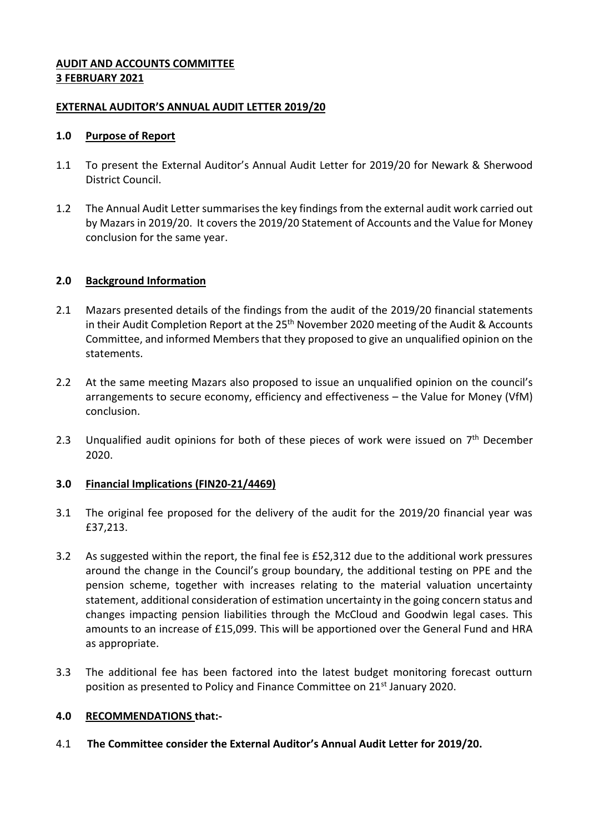## **AUDIT AND ACCOUNTS COMMITTEE 3 FEBRUARY 2021**

## **EXTERNAL AUDITOR'S ANNUAL AUDIT LETTER 2019/20**

## **1.0 Purpose of Report**

- 1.1 To present the External Auditor's Annual Audit Letter for 2019/20 for Newark & Sherwood District Council.
- 1.2 The Annual Audit Letter summarises the key findings from the external audit work carried out by Mazars in 2019/20. It covers the 2019/20 Statement of Accounts and the Value for Money conclusion for the same year.

## **2.0 Background Information**

- 2.1 Mazars presented details of the findings from the audit of the 2019/20 financial statements in their Audit Completion Report at the 25<sup>th</sup> November 2020 meeting of the Audit & Accounts Committee, and informed Members that they proposed to give an unqualified opinion on the statements.
- 2.2 At the same meeting Mazars also proposed to issue an unqualified opinion on the council's arrangements to secure economy, efficiency and effectiveness – the Value for Money (VfM) conclusion.
- 2.3 Unqualified audit opinions for both of these pieces of work were issued on  $7<sup>th</sup>$  December 2020.

### **3.0 Financial Implications (FIN20-21/4469)**

- 3.1 The original fee proposed for the delivery of the audit for the 2019/20 financial year was £37,213.
- 3.2 As suggested within the report, the final fee is £52,312 due to the additional work pressures around the change in the Council's group boundary, the additional testing on PPE and the pension scheme, together with increases relating to the material valuation uncertainty statement, additional consideration of estimation uncertainty in the going concern status and changes impacting pension liabilities through the McCloud and Goodwin legal cases. This amounts to an increase of £15,099. This will be apportioned over the General Fund and HRA as appropriate.
- 3.3 The additional fee has been factored into the latest budget monitoring forecast outturn position as presented to Policy and Finance Committee on 21<sup>st</sup> January 2020.

### **4.0 RECOMMENDATIONS that:-**

4.1 **The Committee consider the External Auditor's Annual Audit Letter for 2019/20.**